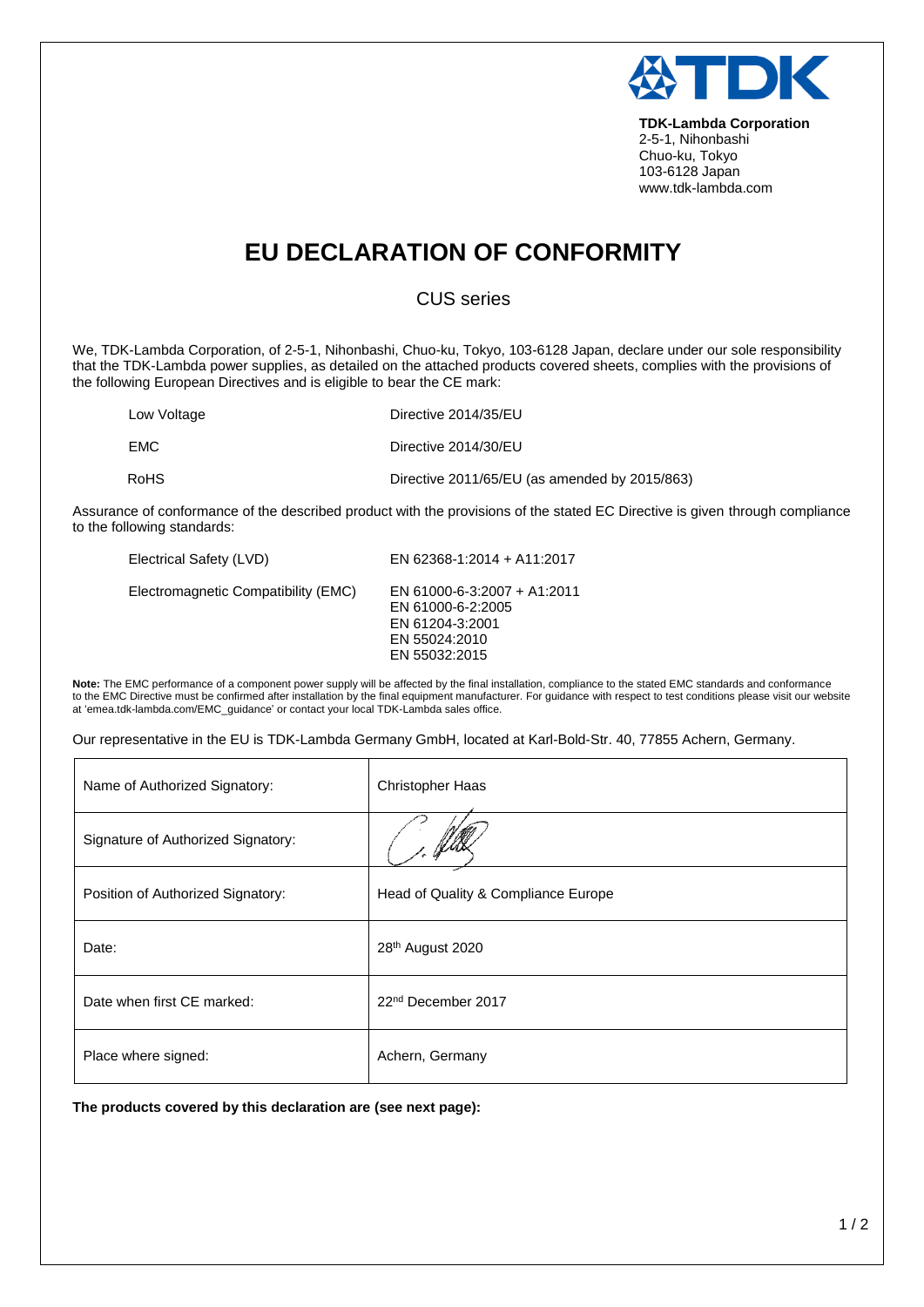

**TDK-Lambda Corporation** 2-5-1, Nihonbashi Chuo-ku, Tokyo 103-6128 Japan www.tdk-lambda.com

## **EU DECLARATION OF CONFORMITY**

## CUS series

We, TDK-Lambda Corporation, of 2-5-1, Nihonbashi, Chuo-ku, Tokyo, 103-6128 Japan, declare under our sole responsibility that the TDK-Lambda power supplies, as detailed on the attached products covered sheets, complies with the provisions of the following European Directives and is eligible to bear the CE mark:

| Low Voltage | Directive 2014/35/EU                          |
|-------------|-----------------------------------------------|
| <b>EMC</b>  | Directive 2014/30/EU                          |
| <b>RoHS</b> | Directive 2011/65/EU (as amended by 2015/863) |

Assurance of conformance of the described product with the provisions of the stated EC Directive is given through compliance to the following standards:

| Electrical Safety (LVD)             | EN 62368-1:2014 + A11:2017                                                                            |
|-------------------------------------|-------------------------------------------------------------------------------------------------------|
| Electromagnetic Compatibility (EMC) | EN 61000-6-3:2007 + A1:2011<br>EN 61000-6-2:2005<br>EN 61204-3:2001<br>EN 55024:2010<br>EN 55032:2015 |

**Note:** The EMC performance of a component power supply will be affected by the final installation, compliance to the stated EMC standards and conformance to the EMC Directive must be confirmed after installation by the final equipment manufacturer. For guidance with respect to test conditions please visit our website at 'emea.tdk-lambda.com/EMC\_guidance' or contact your local TDK-Lambda sales office.

Our representative in the EU is TDK-Lambda Germany GmbH, located at Karl-Bold-Str. 40, 77855 Achern, Germany.

| Name of Authorized Signatory:      | <b>Christopher Haas</b>             |
|------------------------------------|-------------------------------------|
| Signature of Authorized Signatory: |                                     |
| Position of Authorized Signatory:  | Head of Quality & Compliance Europe |
| Date:                              | 28 <sup>th</sup> August 2020        |
| Date when first CE marked:         | 22 <sup>nd</sup> December 2017      |
| Place where signed:                | Achern, Germany                     |

**The products covered by this declaration are (see next page):**